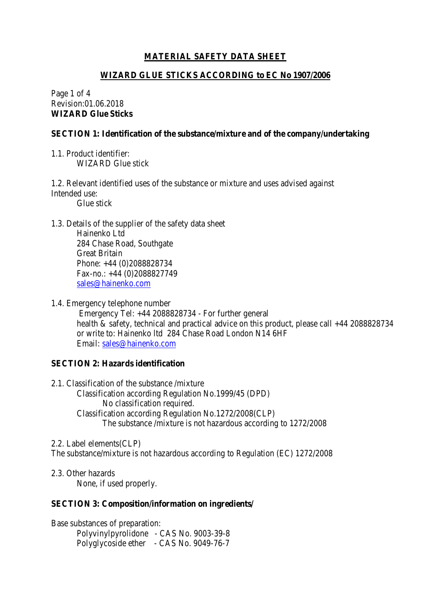## **MATERIAL SAFETY DATA SHEET**

#### **WIZARD GLUE STICKS ACCORDING to EC No 1907/2006**

Page 1 of 4 Revision:01.06.2018 **WIZARD Glue Sticks**

#### **SECTION 1: Identification of the substance/mixture and of the company/undertaking**

1.1. Product identifier: WIZARD Glue stick

1.2. Relevant identified uses of the substance or mixture and uses advised against Intended use:

Glue stick

1.3. Details of the supplier of the safety data sheet

Hainenko Ltd 284 Chase Road, Southgate Great Britain Phone: +44 (0)2088828734 Fax-no.: +44 (0)2088827749 [sales@hainenko.com](mailto:sales@hainenko.com)

1.4. Emergency telephone number

Emergency Tel: +44 2088828734 - For further general health & safety, technical and practical advice on this product, please call +44 2088828734 or write to: Hainenko ltd 284 Chase Road London N14 6HF Email: [sales@hainenko.com](mailto:sales@hainenko.com)

### **SECTION 2: Hazards identification**

2.1. Classification of the substance /mixture Classification according Regulation No.1999/45 (DPD) No classification required. Classification according Regulation No.1272/2008(CLP) The substance /mixture is not hazardous according to 1272/2008

2.2. Label elements(CLP) The substance/mixture is not hazardous according to Regulation (EC) 1272/2008

2.3. Other hazards

None, if used properly.

### **SECTION 3: Composition/information on ingredients/**

Base substances of preparation:

Polyvinylpyrolidone - CAS No. 9003-39-8 Polyglycoside ether - CAS No. 9049-76-7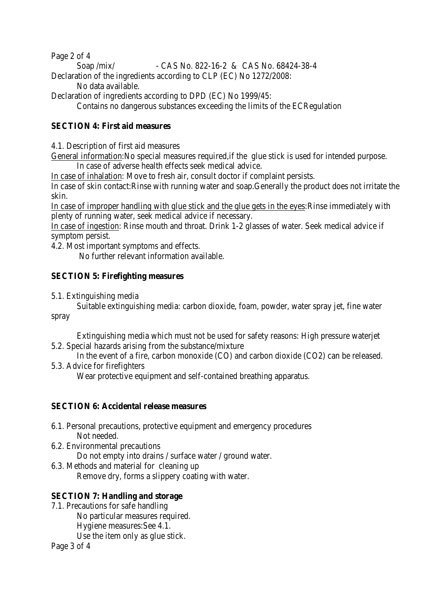Page 2 of 4 Soap /mix/ - CAS No. 822-16-2 & CAS No. 68424-38-4 Declaration of the ingredients according to CLP (EC) No 1272/2008: No data available.

Declaration of ingredients according to DPD (EC) No 1999/45: Contains no dangerous substances exceeding the limits of the ECRegulation

# **SECTION 4: First aid measures**

4.1. Description of first aid measures

General information:No special measures required,if the glue stick is used for intended purpose. In case of adverse health effects seek medical advice.

In case of inhalation: Move to fresh air, consult doctor if complaint persists.

In case of skin contact:Rinse with running water and soap.Generally the product does not irritate the skin.

In case of improper handling with glue stick and the glue gets in the eyes:Rinse immediately with plenty of running water, seek medical advice if necessary.

In case of ingestion: Rinse mouth and throat. Drink 1-2 glasses of water. Seek medical advice if symptom persist.

4.2. Most important symptoms and effects.

No further relevant information available.

## **SECTION 5: Firefighting measures**

5.1. Extinguishing media

Suitable extinguishing media: carbon dioxide, foam, powder, water spray jet, fine water spray

Extinguishing media which must not be used for safety reasons: High pressure waterjet 5.2. Special hazards arising from the substance/mixture

In the event of a fire, carbon monoxide (CO) and carbon dioxide (CO2) can be released. 5.3. Advice for firefighters

Wear protective equipment and self-contained breathing apparatus.

## **SECTION 6: Accidental release measures**

- 6.1. Personal precautions, protective equipment and emergency procedures Not needed.
- 6.2. Environmental precautions

Do not empty into drains / surface water / ground water.

6.3. Methods and material for cleaning up Remove dry, forms a slippery coating with water.

## **SECTION 7: Handling and storage**

7.1. Precautions for safe handling

No particular measures required.

Hygiene measures:See 4.1.

Use the item only as glue stick.

Page 3 of 4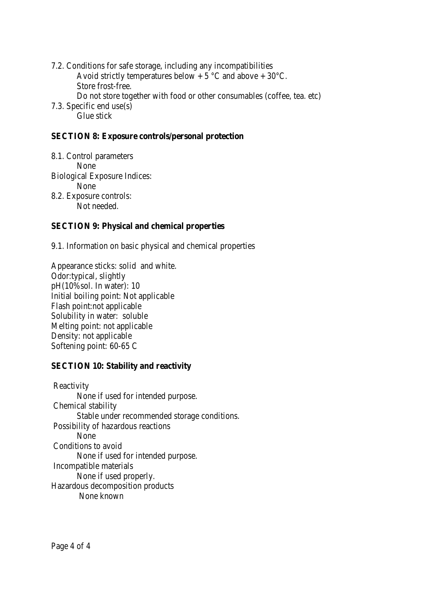7.2. Conditions for safe storage, including any incompatibilities Avoid strictly temperatures below  $+ 5$  °C and above  $+ 30$ °C. Store frost-free. Do not store together with food or other consumables (coffee, tea. etc) 7.3. Specific end use(s) Glue stick

### **SECTION 8: Exposure controls/personal protection**

8.1. Control parameters None Biological Exposure Indices: None 8.2. Exposure controls: Not needed.

## **SECTION 9: Physical and chemical properties**

9.1. Information on basic physical and chemical properties

Appearance sticks: solid and white. Odor:typical, slightly pH(10%sol. In water): 10 Initial boiling point: Not applicable Flash point:not applicable Solubility in water: soluble Melting point: not applicable Density: not applicable Softening point: 60-65 C

### **SECTION 10: Stability and reactivity**

Reactivity None if used for intended purpose. Chemical stability Stable under recommended storage conditions. Possibility of hazardous reactions None Conditions to avoid None if used for intended purpose. Incompatible materials None if used properly. Hazardous decomposition products None known